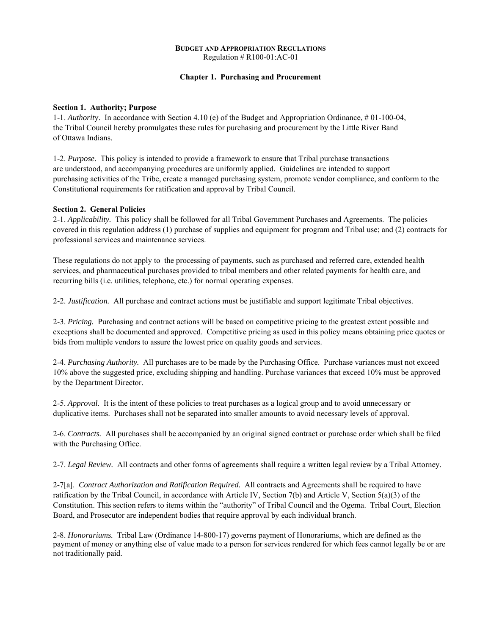### **BUDGET AND APPROPRIATION REGULATIONS**  Regulation # R100-01:AC-01

# **Chapter 1. Purchasing and Procurement**

### **Section 1. Authority; Purpose**

1-1. *Authorit*y. In accordance with Section 4.10 (e) of the Budget and Appropriation Ordinance, # 01-100-04, the Tribal Council hereby promulgates these rules for purchasing and procurement by the Little River Band of Ottawa Indians.

1-2. *Purpose.* This policy is intended to provide a framework to ensure that Tribal purchase transactions are understood, and accompanying procedures are uniformly applied. Guidelines are intended to support purchasing activities of the Tribe, create a managed purchasing system, promote vendor compliance, and conform to the Constitutional requirements for ratification and approval by Tribal Council.

# **Section 2. General Policies**

2-1. *Applicability.* This policy shall be followed for all Tribal Government Purchases and Agreements. The policies covered in this regulation address (1) purchase of supplies and equipment for program and Tribal use; and (2) contracts for professional services and maintenance services.

These regulations do not apply to the processing of payments, such as purchased and referred care, extended health services, and pharmaceutical purchases provided to tribal members and other related payments for health care, and recurring bills (i.e. utilities, telephone, etc.) for normal operating expenses.

2-2. *Justification.* All purchase and contract actions must be justifiable and support legitimate Tribal objectives.

2-3. *Pricing.* Purchasing and contract actions will be based on competitive pricing to the greatest extent possible and exceptions shall be documented and approved. Competitive pricing as used in this policy means obtaining price quotes or bids from multiple vendors to assure the lowest price on quality goods and services.

2-4. *Purchasing Authority.* All purchases are to be made by the Purchasing Office. Purchase variances must not exceed 10% above the suggested price, excluding shipping and handling. Purchase variances that exceed 10% must be approved by the Department Director.

2-5. *Approval.* It is the intent of these policies to treat purchases as a logical group and to avoid unnecessary or duplicative items. Purchases shall not be separated into smaller amounts to avoid necessary levels of approval.

2-6. *Contracts.* All purchases shall be accompanied by an original signed contract or purchase order which shall be filed with the Purchasing Office.

2-7. *Legal Review.* All contracts and other forms of agreements shall require a written legal review by a Tribal Attorney.

2-7[a]. *Contract Authorization and Ratification Required.* All contracts and Agreements shall be required to have ratification by the Tribal Council, in accordance with Article IV, Section 7(b) and Article V, Section 5(a)(3) of the Constitution. This section refers to items within the "authority" of Tribal Council and the Ogema. Tribal Court, Election Board, and Prosecutor are independent bodies that require approval by each individual branch.

2-8. *Honorariums.* Tribal Law (Ordinance 14-800-17) governs payment of Honorariums, which are defined as the payment of money or anything else of value made to a person for services rendered for which fees cannot legally be or are not traditionally paid.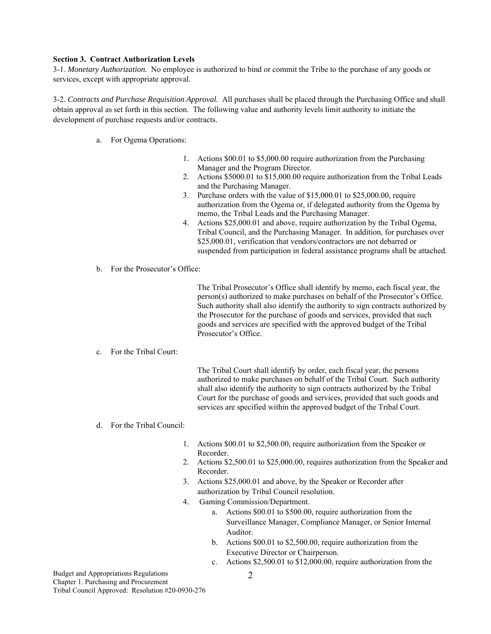### **Section 3. Contract Authorization Levels**

3-1. *Monetary Authorization.* No employee is authorized to bind or commit the Tribe to the purchase of any goods or services, except with appropriate approval.

3-2. *Contracts and Purchase Requisition Approval.* All purchases shall be placed through the Purchasing Office and shall obtain approval as set forth in this section. The following value and authority levels limit authority to initiate the development of purchase requests and/or contracts.

- a. For Ogema Operations:
	- 1. Actions \$00.01 to \$5,000.00 require authorization from the Purchasing Manager and the Program Director.
	- 2. Actions \$5000.01 to \$15,000.00 require authorization from the Tribal Leads and the Purchasing Manager.
	- 3. Purchase orders with the value of \$15,000.01 to \$25,000.00, require authorization from the Ogema or, if delegated authority from the Ogema by memo, the Tribal Leads and the Purchasing Manager.
	- 4. Actions \$25,000.01 and above, require authorization by the Tribal Ogema, Tribal Council, and the Purchasing Manager. In addition, for purchases over \$25,000.01, verification that vendors/contractors are not debarred or suspended from participation in federal assistance programs shall be attached.
- b. For the Prosecutor's Office:

The Tribal Prosecutor's Office shall identify by memo, each fiscal year, the person(s) authorized to make purchases on behalf of the Prosecutor's Office. Such authority shall also identify the authority to sign contracts authorized by the Prosecutor for the purchase of goods and services, provided that such goods and services are specified with the approved budget of the Tribal Prosecutor's Office.

### c. For the Tribal Court:

The Tribal Court shall identify by order, each fiscal year, the persons authorized to make purchases on behalf of the Tribal Court. Such authority shall also identify the authority to sign contracts authorized by the Tribal Court for the purchase of goods and services, provided that such goods and services are specified within the approved budget of the Tribal Court.

- d. For the Tribal Council:
	- 1. Actions \$00.01 to \$2,500.00, require authorization from the Speaker or Recorder.
	- 2. Actions \$2,500.01 to \$25,000.00, requires authorization from the Speaker and Recorder.
	- 3. Actions \$25,000.01 and above, by the Speaker or Recorder after authorization by Tribal Council resolution.
	- 4. Gaming Commission/Department.
		- a. Actions \$00.01 to \$500.00, require authorization from the Surveillance Manager, Compliance Manager, or Senior Internal Auditor.
		- b. Actions \$00.01 to \$2,500.00, require authorization from the Executive Director or Chairperson.
		- c. Actions \$2,500.01 to \$12,000.00, require authorization from the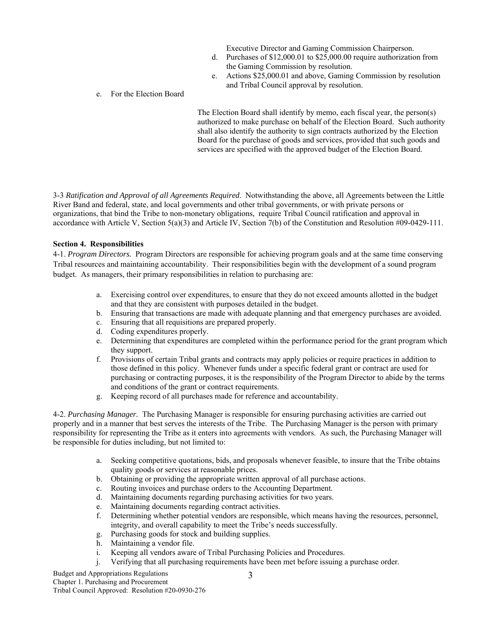Executive Director and Gaming Commission Chairperson.

- d. Purchases of \$12,000.01 to \$25,000.00 require authorization from the Gaming Commission by resolution.
- e. Actions \$25,000.01 and above, Gaming Commission by resolution and Tribal Council approval by resolution.

### e. For the Election Board

The Election Board shall identify by memo, each fiscal year, the person(s) authorized to make purchase on behalf of the Election Board. Such authority shall also identify the authority to sign contracts authorized by the Election Board for the purchase of goods and services, provided that such goods and services are specified with the approved budget of the Election Board.

3-3 *Ratification and Approval of all Agreements Required*. Notwithstanding the above, all Agreements between the Little River Band and federal, state, and local governments and other tribal governments, or with private persons or organizations, that bind the Tribe to non-monetary obligations, require Tribal Council ratification and approval in accordance with Article V, Section  $5(a)(3)$  and Article IV, Section 7(b) of the Constitution and Resolution #09-0429-111.

# **Section 4. Responsibilities**

4-1. *Program Directors.* Program Directors are responsible for achieving program goals and at the same time conserving Tribal resources and maintaining accountability. Their responsibilities begin with the development of a sound program budget. As managers, their primary responsibilities in relation to purchasing are:

- a. Exercising control over expenditures, to ensure that they do not exceed amounts allotted in the budget and that they are consistent with purposes detailed in the budget.
- b. Ensuring that transactions are made with adequate planning and that emergency purchases are avoided.
- c. Ensuring that all requisitions are prepared properly.
- d. Coding expenditures properly.
- e. Determining that expenditures are completed within the performance period for the grant program which they support.
- f. Provisions of certain Tribal grants and contracts may apply policies or require practices in addition to those defined in this policy. Whenever funds under a specific federal grant or contract are used for purchasing or contracting purposes, it is the responsibility of the Program Director to abide by the terms and conditions of the grant or contract requirements.
- g. Keeping record of all purchases made for reference and accountability.

4-2. *Purchasing Manager.* The Purchasing Manager is responsible for ensuring purchasing activities are carried out properly and in a manner that best serves the interests of the Tribe. The Purchasing Manager is the person with primary responsibility for representing the Tribe as it enters into agreements with vendors. As such, the Purchasing Manager will be responsible for duties including, but not limited to:

- a. Seeking competitive quotations, bids, and proposals whenever feasible, to insure that the Tribe obtains quality goods or services at reasonable prices.
- b. Obtaining or providing the appropriate written approval of all purchase actions.
- c. Routing invoices and purchase orders to the Accounting Department.
- d. Maintaining documents regarding purchasing activities for two years.
- e. Maintaining documents regarding contract activities.
- f. Determining whether potential vendors are responsible, which means having the resources, personnel, integrity, and overall capability to meet the Tribe's needs successfully.
- g. Purchasing goods for stock and building supplies.
- h. Maintaining a vendor file.
- i. Keeping all vendors aware of Tribal Purchasing Policies and Procedures.
- j. Verifying that all purchasing requirements have been met before issuing a purchase order.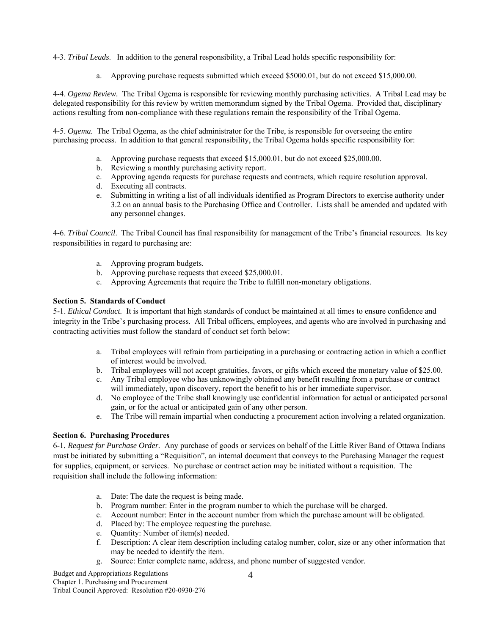4-3. *Tribal Leads*. In addition to the general responsibility, a Tribal Lead holds specific responsibility for:

a. Approving purchase requests submitted which exceed \$5000.01, but do not exceed \$15,000.00.

4-4. *Ogema Review.* The Tribal Ogema is responsible for reviewing monthly purchasing activities. A Tribal Lead may be delegated responsibility for this review by written memorandum signed by the Tribal Ogema. Provided that, disciplinary actions resulting from non-compliance with these regulations remain the responsibility of the Tribal Ogema.

4-5. *Ogema.* The Tribal Ogema, as the chief administrator for the Tribe, is responsible for overseeing the entire purchasing process. In addition to that general responsibility, the Tribal Ogema holds specific responsibility for:

- a. Approving purchase requests that exceed \$15,000.01, but do not exceed \$25,000.00.
- b. Reviewing a monthly purchasing activity report.
- c. Approving agenda requests for purchase requests and contracts, which require resolution approval.
- d. Executing all contracts.
- e. Submitting in writing a list of all individuals identified as Program Directors to exercise authority under 3.2 on an annual basis to the Purchasing Office and Controller. Lists shall be amended and updated with any personnel changes.

4-6. *Tribal Council*. The Tribal Council has final responsibility for management of the Tribe's financial resources. Its key responsibilities in regard to purchasing are:

- a. Approving program budgets.
- b. Approving purchase requests that exceed \$25,000.01.
- c. Approving Agreements that require the Tribe to fulfill non-monetary obligations.

# **Section 5. Standards of Conduct**

5-1. *Ethical Conduct.* It is important that high standards of conduct be maintained at all times to ensure confidence and integrity in the Tribe's purchasing process. All Tribal officers, employees, and agents who are involved in purchasing and contracting activities must follow the standard of conduct set forth below:

- a. Tribal employees will refrain from participating in a purchasing or contracting action in which a conflict of interest would be involved.
- b. Tribal employees will not accept gratuities, favors, or gifts which exceed the monetary value of \$25.00.
- c. Any Tribal employee who has unknowingly obtained any benefit resulting from a purchase or contract will immediately, upon discovery, report the benefit to his or her immediate supervisor.
- d. No employee of the Tribe shall knowingly use confidential information for actual or anticipated personal gain, or for the actual or anticipated gain of any other person.
- e. The Tribe will remain impartial when conducting a procurement action involving a related organization.

# **Section 6. Purchasing Procedures**

6-1*. Request for Purchase Order.* Any purchase of goods or services on behalf of the Little River Band of Ottawa Indians must be initiated by submitting a "Requisition", an internal document that conveys to the Purchasing Manager the request for supplies, equipment, or services. No purchase or contract action may be initiated without a requisition. The requisition shall include the following information:

- a. Date: The date the request is being made.
- b. Program number: Enter in the program number to which the purchase will be charged.
- c. Account number: Enter in the account number from which the purchase amount will be obligated.
- d. Placed by: The employee requesting the purchase.
- e. Quantity: Number of item(s) needed.
- f. Description: A clear item description including catalog number, color, size or any other information that may be needed to identify the item.
- g. Source: Enter complete name, address, and phone number of suggested vendor.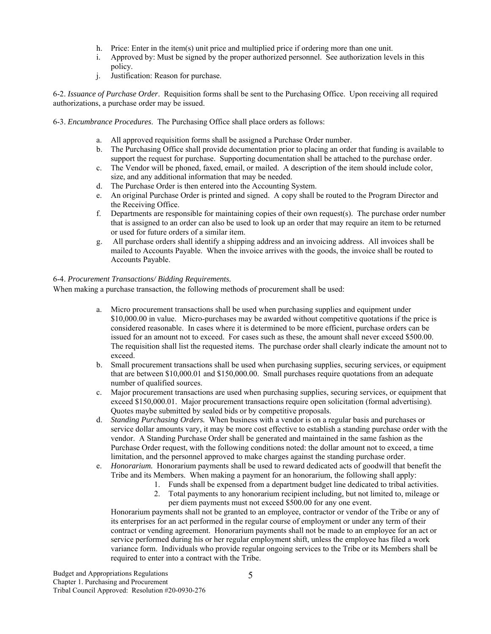- h. Price: Enter in the item(s) unit price and multiplied price if ordering more than one unit.
- i. Approved by: Must be signed by the proper authorized personnel. See authorization levels in this policy.
- j. Justification: Reason for purchase.

6-2. *Issuance of Purchase Order*. Requisition forms shall be sent to the Purchasing Office. Upon receiving all required authorizations, a purchase order may be issued.

- 6-3. *Encumbrance Procedures*. The Purchasing Office shall place orders as follows:
	- a. All approved requisition forms shall be assigned a Purchase Order number.
	- b. The Purchasing Office shall provide documentation prior to placing an order that funding is available to support the request for purchase. Supporting documentation shall be attached to the purchase order.
	- c. The Vendor will be phoned, faxed, email, or mailed. A description of the item should include color, size, and any additional information that may be needed.
	- d. The Purchase Order is then entered into the Accounting System.
	- e. An original Purchase Order is printed and signed. A copy shall be routed to the Program Director and the Receiving Office.
	- f. Departments are responsible for maintaining copies of their own request(s). The purchase order number that is assigned to an order can also be used to look up an order that may require an item to be returned or used for future orders of a similar item.
	- g. All purchase orders shall identify a shipping address and an invoicing address. All invoices shall be mailed to Accounts Payable. When the invoice arrives with the goods, the invoice shall be routed to Accounts Payable.

### 6-4. *Procurement Transactions/ Bidding Requirements.*

When making a purchase transaction, the following methods of procurement shall be used:

- a. Micro procurement transactions shall be used when purchasing supplies and equipment under \$10,000.00 in value. Micro-purchases may be awarded without competitive quotations if the price is considered reasonable. In cases where it is determined to be more efficient, purchase orders can be issued for an amount not to exceed. For cases such as these, the amount shall never exceed \$500.00. The requisition shall list the requested items. The purchase order shall clearly indicate the amount not to exceed.
- b. Small procurement transactions shall be used when purchasing supplies, securing services, or equipment that are between \$10,000.01 and \$150,000.00. Small purchases require quotations from an adequate number of qualified sources.
- c. Major procurement transactions are used when purchasing supplies, securing services, or equipment that exceed \$150,000.01. Major procurement transactions require open solicitation (formal advertising). Quotes maybe submitted by sealed bids or by competitive proposals.
- d. *Standing Purchasing Orders.* When business with a vendor is on a regular basis and purchases or service dollar amounts vary, it may be more cost effective to establish a standing purchase order with the vendor. A Standing Purchase Order shall be generated and maintained in the same fashion as the Purchase Order request, with the following conditions noted: the dollar amount not to exceed, a time limitation, and the personnel approved to make charges against the standing purchase order.
- e. *Honorarium.* Honorarium payments shall be used to reward dedicated acts of goodwill that benefit the Tribe and its Members. When making a payment for an honorarium, the following shall apply:
	- 1. Funds shall be expensed from a department budget line dedicated to tribal activities.
		- 2. Total payments to any honorarium recipient including, but not limited to, mileage or per diem payments must not exceed \$500.00 for any one event.

Honorarium payments shall not be granted to an employee, contractor or vendor of the Tribe or any of its enterprises for an act performed in the regular course of employment or under any term of their contract or vending agreement. Honorarium payments shall not be made to an employee for an act or service performed during his or her regular employment shift, unless the employee has filed a work variance form. Individuals who provide regular ongoing services to the Tribe or its Members shall be required to enter into a contract with the Tribe.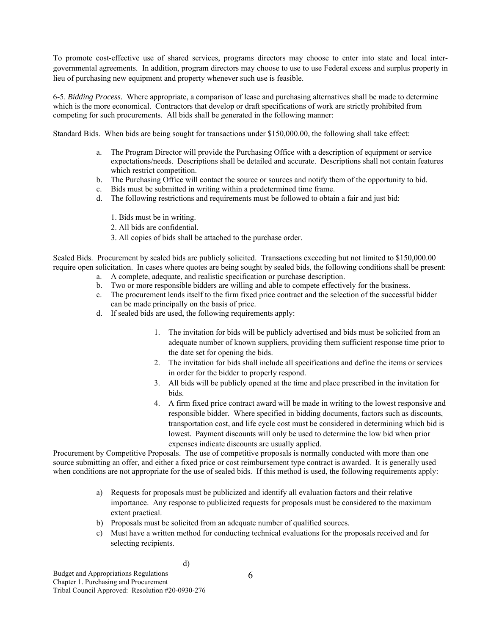To promote cost-effective use of shared services, programs directors may choose to enter into state and local intergovernmental agreements. In addition, program directors may choose to use to use Federal excess and surplus property in lieu of purchasing new equipment and property whenever such use is feasible.

6-5. *Bidding Process.* Where appropriate, a comparison of lease and purchasing alternatives shall be made to determine which is the more economical. Contractors that develop or draft specifications of work are strictly prohibited from competing for such procurements. All bids shall be generated in the following manner:

Standard Bids. When bids are being sought for transactions under \$150,000.00, the following shall take effect:

- a. The Program Director will provide the Purchasing Office with a description of equipment or service expectations/needs. Descriptions shall be detailed and accurate. Descriptions shall not contain features which restrict competition.
- b. The Purchasing Office will contact the source or sources and notify them of the opportunity to bid.
- c. Bids must be submitted in writing within a predetermined time frame.
- d. The following restrictions and requirements must be followed to obtain a fair and just bid:
	- 1. Bids must be in writing.
	- 2. All bids are confidential.
	- 3. All copies of bids shall be attached to the purchase order.

Sealed Bids. Procurement by sealed bids are publicly solicited. Transactions exceeding but not limited to \$150,000.00 require open solicitation. In cases where quotes are being sought by sealed bids, the following conditions shall be present:

- a. A complete, adequate, and realistic specification or purchase description.
- b. Two or more responsible bidders are willing and able to compete effectively for the business.
- c. The procurement lends itself to the firm fixed price contract and the selection of the successful bidder can be made principally on the basis of price.
- d. If sealed bids are used, the following requirements apply:
	- 1. The invitation for bids will be publicly advertised and bids must be solicited from an adequate number of known suppliers, providing them sufficient response time prior to the date set for opening the bids.
	- 2. The invitation for bids shall include all specifications and define the items or services in order for the bidder to properly respond.
	- 3. All bids will be publicly opened at the time and place prescribed in the invitation for bids.
	- 4. A firm fixed price contract award will be made in writing to the lowest responsive and responsible bidder. Where specified in bidding documents, factors such as discounts, transportation cost, and life cycle cost must be considered in determining which bid is lowest. Payment discounts will only be used to determine the low bid when prior expenses indicate discounts are usually applied.

Procurement by Competitive Proposals. The use of competitive proposals is normally conducted with more than one source submitting an offer, and either a fixed price or cost reimbursement type contract is awarded. It is generally used when conditions are not appropriate for the use of sealed bids. If this method is used, the following requirements apply:

- a) Requests for proposals must be publicized and identify all evaluation factors and their relative importance. Any response to publicized requests for proposals must be considered to the maximum extent practical.
- b) Proposals must be solicited from an adequate number of qualified sources.
- c) Must have a written method for conducting technical evaluations for the proposals received and for selecting recipients.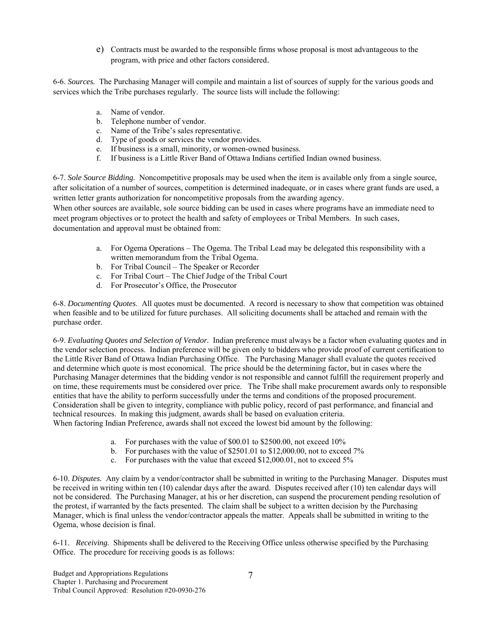e) Contracts must be awarded to the responsible firms whose proposal is most advantageous to the program, with price and other factors considered.

6-6. *Sources.* The Purchasing Manager will compile and maintain a list of sources of supply for the various goods and services which the Tribe purchases regularly. The source lists will include the following:

- a. Name of vendor.
- b. Telephone number of vendor.
- c. Name of the Tribe's sales representative.
- d. Type of goods or services the vendor provides.
- e. If business is a small, minority, or women-owned business.
- f. If business is a Little River Band of Ottawa Indians certified Indian owned business.

6-7. *Sole Source Bidding.* Noncompetitive proposals may be used when the item is available only from a single source, after solicitation of a number of sources, competition is determined inadequate, or in cases where grant funds are used, a written letter grants authorization for noncompetitive proposals from the awarding agency.

When other sources are available, sole source bidding can be used in cases where programs have an immediate need to meet program objectives or to protect the health and safety of employees or Tribal Members. In such cases, documentation and approval must be obtained from:

- a. For Ogema Operations The Ogema. The Tribal Lead may be delegated this responsibility with a written memorandum from the Tribal Ogema.
- b. For Tribal Council The Speaker or Recorder
- c. For Tribal Court The Chief Judge of the Tribal Court
- d. For Prosecutor's Office, the Prosecutor

6-8. *Documenting Quotes*. All quotes must be documented. A record is necessary to show that competition was obtained when feasible and to be utilized for future purchases. All soliciting documents shall be attached and remain with the purchase order.

6-9. *Evaluating Quotes and Selection of Vendor.* Indian preference must always be a factor when evaluating quotes and in the vendor selection process. Indian preference will be given only to bidders who provide proof of current certification to the Little River Band of Ottawa Indian Purchasing Office. The Purchasing Manager shall evaluate the quotes received and determine which quote is most economical. The price should be the determining factor, but in cases where the Purchasing Manager determines that the bidding vendor is not responsible and cannot fulfill the requirement properly and on time, these requirements must be considered over price. The Tribe shall make procurement awards only to responsible entities that have the ability to perform successfully under the terms and conditions of the proposed procurement. Consideration shall be given to integrity, compliance with public policy, record of past performance, and financial and technical resources. In making this judgment, awards shall be based on evaluation criteria. When factoring Indian Preference, awards shall not exceed the lowest bid amount by the following:

- a. For purchases with the value of \$00.01 to \$2500.00, not exceed 10%
- b. For purchases with the value of \$2501.01 to \$12,000.00, not to exceed 7%
- c. For purchases with the value that exceed \$12,000.01, not to exceed 5%

6-10. *Disputes.* Any claim by a vendor/contractor shall be submitted in writing to the Purchasing Manager. Disputes must be received in writing within ten (10) calendar days after the award. Disputes received after (10) ten calendar days will not be considered. The Purchasing Manager, at his or her discretion, can suspend the procurement pending resolution of the protest, if warranted by the facts presented. The claim shall be subject to a written decision by the Purchasing Manager, which is final unless the vendor/contractor appeals the matter. Appeals shall be submitted in writing to the Ogema, whose decision is final.

6-11. *Receiving.* Shipments shall be delivered to the Receiving Office unless otherwise specified by the Purchasing Office. The procedure for receiving goods is as follows: